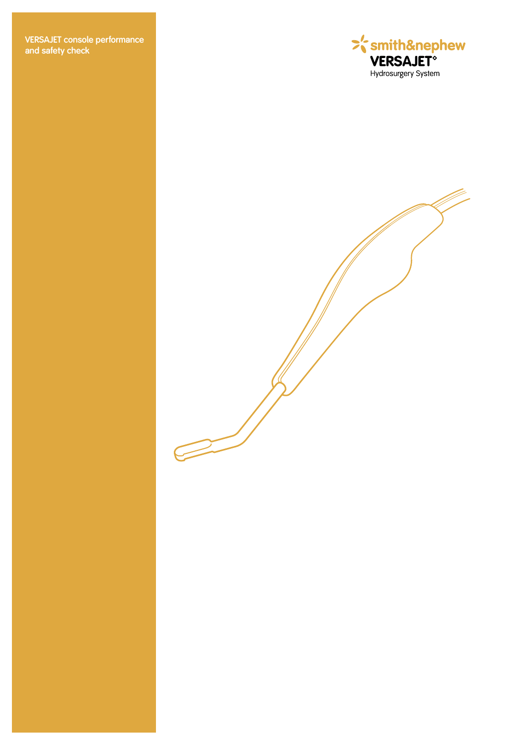**VERSAJET console performance and safety check**

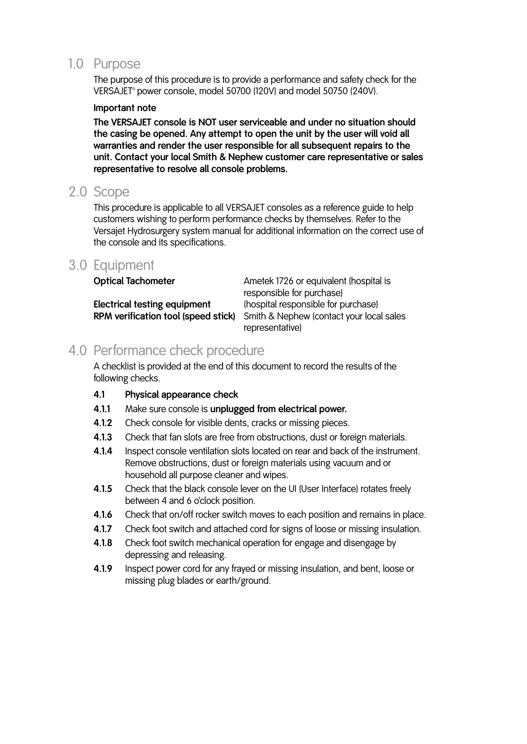# 1.0 Purpose

 The purpose of this procedure is to provide a performance and safety check for the VERSAJET<sup>®</sup> power console, model 50700 (120V) and model 50750 (240V).

# **Important note**

 **The VERSAJET console is NOT user serviceable and under no situation should the casing be opened. Any attempt to open the unit by the user will void all warranties and render the user responsible for all subsequent repairs to the unit. Contact your local Smith & Nephew customer care representative or sales representative to resolve all console problems.**

# 2.0 Scope

 This procedure is applicable to all VERSAJET consoles as a reference guide to help customers wishing to perform performance checks by themselves. Refer to the Versajet Hydrosurgery system manual for additional information on the correct use of the console and its specifications.

# 3.0 Equipment

| <b>Optical Tachometer</b>           | Ametek 1726 or equivalent (hospital is<br>responsible for purchase) |
|-------------------------------------|---------------------------------------------------------------------|
| Electrical testing equipment        | (hospital responsible for purchase)                                 |
| RPM verification tool (speed stick) | Smith & Nephew (contact your local sales                            |
|                                     | representative)                                                     |

# 4.0 Performance check procedure

 A checklist is provided at the end of this document to record the results of the following checks.

# **4.1 Physical appearance check**

- **4.1.1** Make sure console is **unplugged from electrical power.**
- **4.1.2** Check console for visible dents, cracks or missing pieces.
- **4.1.3** Check that fan slots are free from obstructions, dust or foreign materials.
- **4.1.4** Inspect console ventilation slots located on rear and back of the instrument. Remove obstructions, dust or foreign materials using vacuum and or household all purpose cleaner and wipes.
- **4.1.5** Check that the black console lever on the UI (User Interface) rotates freely between 4 and 6 o'clock position.
- **4.1.6** Check that on/off rocker switch moves to each position and remains in place.
- **4.1.7** Check foot switch and attached cord for signs of loose or missing insulation.
- **4.1.8** Check foot switch mechanical operation for engage and disengage by depressing and releasing.
- **4.1.9** Inspect power cord for any frayed or missing insulation, and bent, loose or missing plug blades or earth/ground.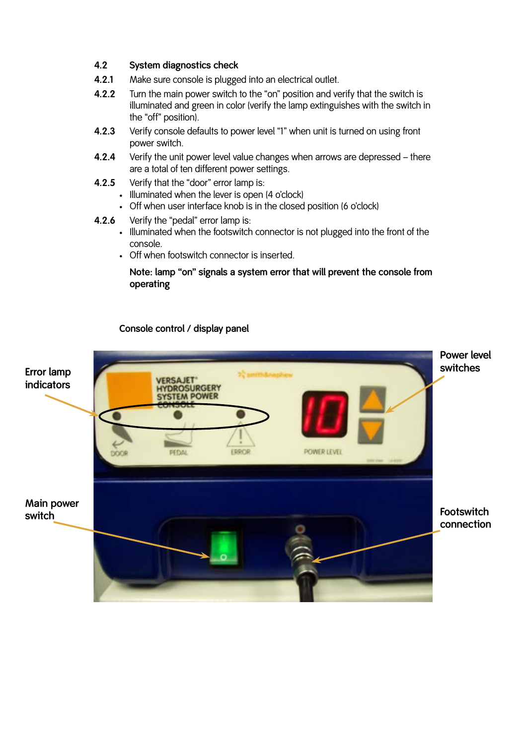# **4.2 System diagnostics check**

- **4.2.1** Make sure console is plugged into an electrical outlet.
- **4.2.2** Turn the main power switch to the "on" position and verify that the switch is illuminated and green in color (verify the lamp extinguishes with the switch in the "off" position).
- **4.2.3** Verify console defaults to power level "1" when unit is turned on using front power switch.
- **4.2.4** Verify the unit power level value changes when arrows are depressed there are a total of ten different power settings.
- **4.2.5** Verify that the "door" error lamp is:
	- Illuminated when the lever is open (4 o'clock)
	- Off when user interface knob is in the closed position (6 o'clock)
- **4.2.6** Verify the "pedal" error lamp is:
	- Illuminated when the footswitch connector is not plugged into the front of the console.
	- Off when footswitch connector is inserted.

# **Note: lamp "on" signals a system error that will prevent the console from operating**

# **Console control / display panel**

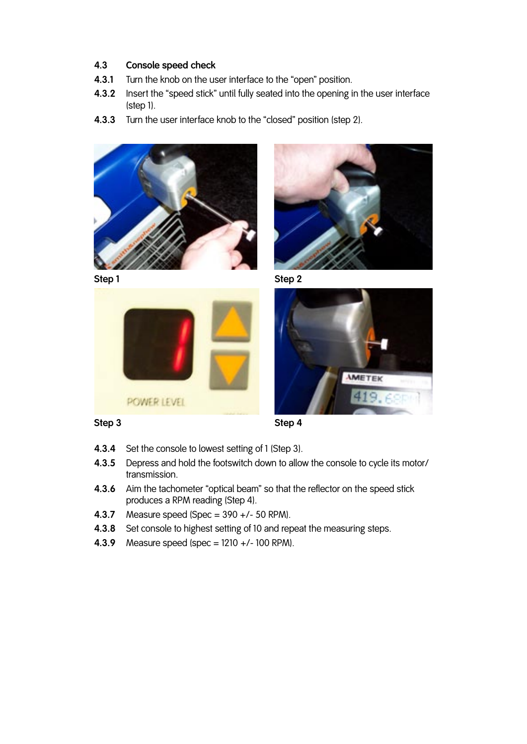# **4.3 Console speed check**

- **4.3.1** Turn the knob on the user interface to the "open" position.
- **4.3.2** Insert the "speed stick" until fully seated into the opening in the user interface (step 1).
- **4.3.3** Turn the user interface knob to the "closed" position (step 2).



**Step 1 Step 2**







**Step 3 Step 4**

- **4.3.4** Set the console to lowest setting of 1 (Step 3).
- **4.3.5** Depress and hold the footswitch down to allow the console to cycle its motor/ transmission.
- **4.3.6** Aim the tachometer "optical beam" so that the reflector on the speed stick produces a RPM reading (Step 4).
- **4.3.7** Measure speed (Spec = 390 +/- 50 RPM).
- **4.3.8** Set console to highest setting of 10 and repeat the measuring steps.
- **4.3.9** Measure speed (spec = 1210 +/- 100 RPM).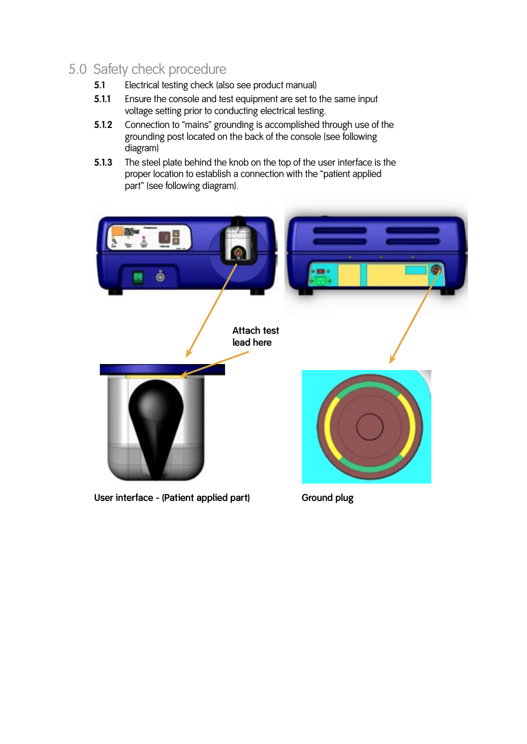# 5.0 Safety check procedure

- **5.1** Electrical testing check (also see product manual)
- **5.1.1** Ensure the console and test equipment are set to the same input voltage setting prior to conducting electrical testing.
- **5.1.2** Connection to "mains" grounding is accomplished through use of the grounding post located on the back of the console (see following diagram)
- **5.1.3** The steel plate behind the knob on the top of the user interface is the proper location to establish a connection with the "patient applied part" (see following diagram).



User interface - (Patient applied part) **Ground plug**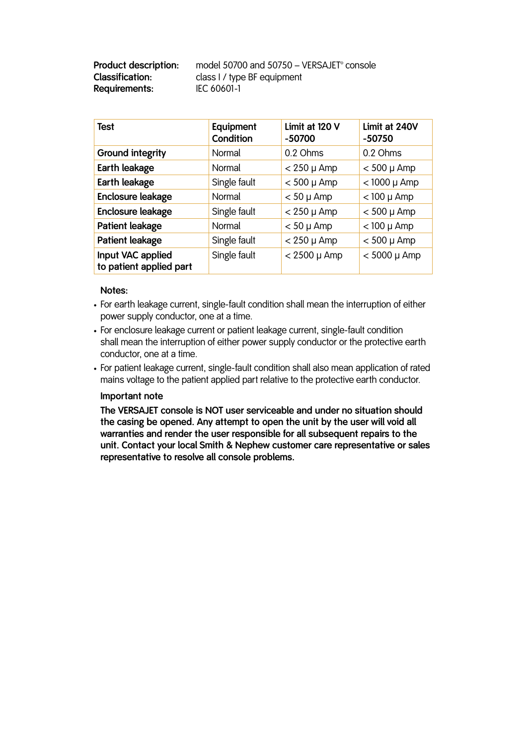| <b>Product description:</b> | model 50700 and 50750 - VERSAJET $\degree$ console |
|-----------------------------|----------------------------------------------------|
| Classification:             | class I / type BF equipment                        |
| Requirements:               | IEC 60601-1                                        |

| Test                                         | Equipment<br>Condition | Limit at 120 V<br>$-50700$ | Limit at 240V<br>$-50750$ |  |
|----------------------------------------------|------------------------|----------------------------|---------------------------|--|
| <b>Ground integrity</b>                      | Normal                 | 0.2 Ohms                   | 0.2 Ohms                  |  |
| Earth leakage                                | Normal                 | $<$ 250 µ Amp              | $< 500 \mu$ Amp           |  |
| Earth leakage                                | Single fault           | $< 500 \mu$ Amp            | $<$ 1000 $\mu$ Amp        |  |
| Enclosure leakage                            | Normal                 | $< 50 \mu$ Amp             | $<$ 100 µ Amp             |  |
| Enclosure leakage                            | Single fault           | $< 250 \mu$ Amp            | $< 500 \mu$ Amp           |  |
| Patient leakage                              | Normal                 | $< 50 \mu$ Amp             | $<$ 100 µ Amp             |  |
| Patient leakage                              | Single fault           | $< 250 \mu$ Amp            | $< 500 \mu$ Amp           |  |
| Input VAC applied<br>to patient applied part | Single fault           | $< 2500 \mu$ Amp           | $< 5000 \mu$ Amp          |  |

## **Notes:**

- For earth leakage current, single-fault condition shall mean the interruption of either power supply conductor, one at a time.
- For enclosure leakage current or patient leakage current, single-fault condition shall mean the interruption of either power supply conductor or the protective earth conductor, one at a time.
- For patient leakage current, single-fault condition shall also mean application of rated mains voltage to the patient applied part relative to the protective earth conductor.

## **Important note**

 **The VERSAJET console is NOT user serviceable and under no situation should the casing be opened. Any attempt to open the unit by the user will void all warranties and render the user responsible for all subsequent repairs to the unit. Contact your local Smith & Nephew customer care representative or sales representative to resolve all console problems.**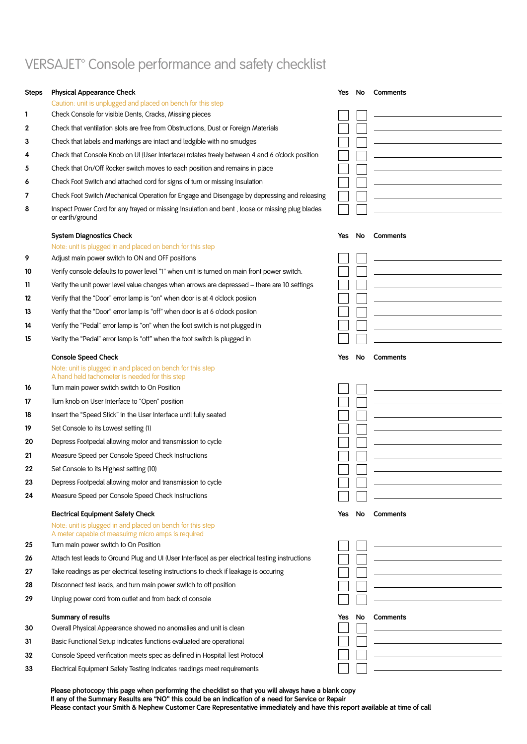# VERSAJET<sup>®</sup> Console performance and safety checklist

| Steps | <b>Physical Appearance Check</b>                                                                                                                              | Yes | No | Comments                                                                                                               |
|-------|---------------------------------------------------------------------------------------------------------------------------------------------------------------|-----|----|------------------------------------------------------------------------------------------------------------------------|
|       | Caution: unit is unplugged and placed on bench for this step                                                                                                  |     |    |                                                                                                                        |
| 1     | Check Console for visible Dents, Cracks, Missing pieces                                                                                                       |     |    |                                                                                                                        |
| 2     | Check that ventilation slots are free from Obstructions, Dust or Foreign Materials                                                                            |     |    |                                                                                                                        |
| 3     | Check that labels and markings are intact and ledgible with no smudges                                                                                        |     |    | <u> 1980 - Johann Barbara, martxa alemaniar a</u>                                                                      |
| 4     | Check that Console Knob on UI (User Interface) rotates freely between 4 and 6 o'clock position                                                                |     |    | the control of the control of the control of the control of the control of                                             |
| 5     | Check that On/Off Rocker switch moves to each position and remains in place                                                                                   |     |    |                                                                                                                        |
| 6     | Check Foot Switch and attached cord for signs of turn or missing insulation                                                                                   |     |    |                                                                                                                        |
| 7     | Check Foot Switch Mechanical Operation for Engage and Disengage by depressing and releasing                                                                   |     |    |                                                                                                                        |
| 8     | Inspect Power Cord for any frayed or missing insulation and bent, loose or missing plug blades<br>or earth/ground                                             |     |    |                                                                                                                        |
|       | <b>System Diagnostics Check</b>                                                                                                                               | Yes | No | Comments                                                                                                               |
|       | Note: unit is plugged in and placed on bench for this step                                                                                                    |     |    |                                                                                                                        |
| 9     | Adjust main power switch to ON and OFF positions                                                                                                              |     |    |                                                                                                                        |
| 10    | Verify console defaults to power level "1" when unit is turned on main front power switch.                                                                    |     |    |                                                                                                                        |
| 11    | Verify the unit power level value changes when arrows are depressed - there are 10 settings                                                                   |     |    | <u> 1980 - Johann Barbara, martxa alemaniar a</u>                                                                      |
| 12    | Verify that the "Door" error lamp is "on" when door is at 4 o'clock posiion                                                                                   |     |    | the control of the control of the control of the control of the control of                                             |
| 13    | Verify that the "Door" error lamp is "off" when door is at 6 o'clock posiion                                                                                  |     |    | <u> 1989 - Johann Stoff, deutscher Stoffen und der Stoffen und der Stoffen und der Stoffen und der Stoffen und der</u> |
| 14    | Verify the "Pedal" error lamp is "on" when the foot switch is not plugged in                                                                                  |     |    |                                                                                                                        |
| 15    | Verify the "Pedal" error lamp is "off" when the foot switch is plugged in                                                                                     |     |    |                                                                                                                        |
|       | <b>Console Speed Check</b>                                                                                                                                    | Yes | No | Comments                                                                                                               |
|       | Note: unit is plugged in and placed on bench for this step<br>A hand held tachometer is needed for this step                                                  |     |    |                                                                                                                        |
| 16    | Turn main power switch switch to On Position                                                                                                                  |     |    |                                                                                                                        |
| 17    | Turn knob on User Interface to "Open" position                                                                                                                |     |    | the control of the control of the control of the control of the control of                                             |
| 18    | Insert the "Speed Stick" in the User Interface until fully seated                                                                                             |     |    |                                                                                                                        |
| 19    | Set Console to its Lowest setting (1)                                                                                                                         |     |    | the control of the control of the control of the control of the control of                                             |
| 20    | Depress Footpedal allowing motor and transmission to cycle                                                                                                    |     |    |                                                                                                                        |
| 21    | Measure Speed per Console Speed Check Instructions                                                                                                            |     |    | the control of the control of the control of the control of the control of                                             |
| 22    | Set Console to its Highest setting (10)                                                                                                                       |     |    |                                                                                                                        |
| 23    | Depress Footpedal allowing motor and transmission to cycle                                                                                                    |     |    |                                                                                                                        |
| 24    | Measure Speed per Console Speed Check Instructions                                                                                                            |     |    |                                                                                                                        |
|       | <b>Electrical Equipment Safety Check</b><br>Note: unit is plugged in and placed on bench for this step<br>A meter capable of measuirng micro amps is required | Yes | No | Comments                                                                                                               |
| 25    | Turn main power switch to On Position                                                                                                                         |     |    |                                                                                                                        |
| 26    | Attach test leads to Ground Plug and UI (User Interface) as per electrical testing instructions                                                               |     |    | <u> 1989 - Johann Barn, fransk politik amerikansk politik (</u>                                                        |
| 27    | Take readings as per electrical teseting instructions to check if leakage is occuring                                                                         |     |    |                                                                                                                        |
| 28    | Disconnect test leads, and turn main power switch to off position                                                                                             |     |    | the control of the control of the control of the control of the control of                                             |
| 29    | Unplug power cord from outlet and from back of console                                                                                                        |     |    |                                                                                                                        |
|       |                                                                                                                                                               |     |    |                                                                                                                        |
|       | Summary of results                                                                                                                                            | Yes | No | Comments                                                                                                               |
| 30    | Overall Physical Appearance showed no anomalies and unit is clean                                                                                             |     |    |                                                                                                                        |
| 31    | Basic Functional Setup indicates functions evaluated are operational                                                                                          |     |    |                                                                                                                        |
| 32    | Console Speed verification meets spec as defined in Hospital Test Protocol                                                                                    |     |    | <u> 1980 - Johann Barn, amerikan besteman besteman besteman besteman besteman besteman besteman besteman bestema</u>   |
| 33    | Electrical Equipment Safety Testing indicates readings meet requirements                                                                                      |     |    | the control of the control of the control of the control of the control of                                             |

**Please photocopy this page when performing the checklist so that you will always have a blank copy If any of the Summary Results are "NO" this could be an indication of a need for Service or Repair Please contact your Smith & Nephew Customer Care Representative immediately and have this report available at time of call**